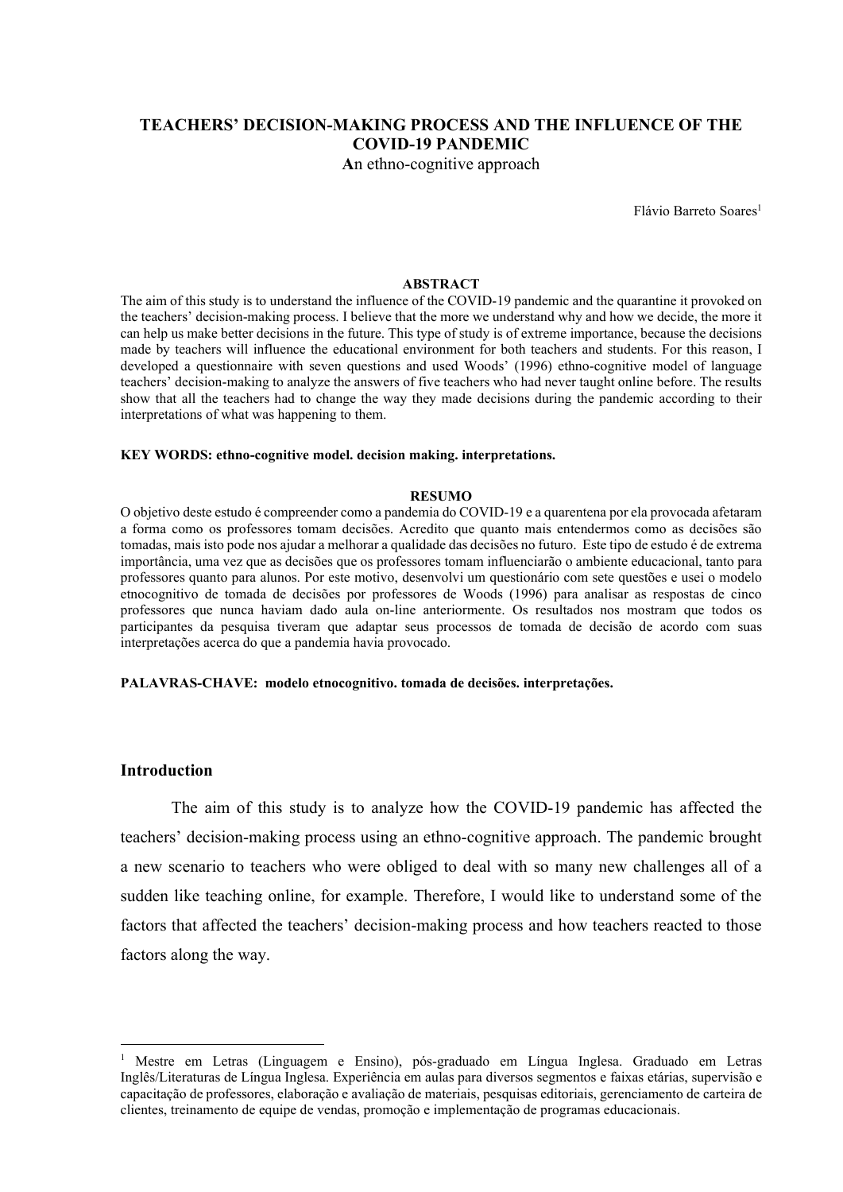# TEACHERS' DECISION-MAKING PROCESS AND THE INFLUENCE OF THE COVID-19 PANDEMIC

An ethno-cognitive approach

Flávio Barreto Soares<sup>1</sup>

#### ABSTRACT

The aim of this study is to understand the influence of the COVID-19 pandemic and the quarantine it provoked on the teachers' decision-making process. I believe that the more we understand why and how we decide, the more it can help us make better decisions in the future. This type of study is of extreme importance, because the decisions made by teachers will influence the educational environment for both teachers and students. For this reason, I developed a questionnaire with seven questions and used Woods' (1996) ethno-cognitive model of language teachers' decision-making to analyze the answers of five teachers who had never taught online before. The results show that all the teachers had to change the way they made decisions during the pandemic according to their interpretations of what was happening to them.

#### KEY WORDS: ethno-cognitive model. decision making. interpretations.

#### RESUMO

O objetivo deste estudo é compreender como a pandemia do COVID-19 e a quarentena por ela provocada afetaram a forma como os professores tomam decisões. Acredito que quanto mais entendermos como as decisões são tomadas, mais isto pode nos ajudar a melhorar a qualidade das decisões no futuro. Este tipo de estudo é de extrema importância, uma vez que as decisões que os professores tomam influenciarão o ambiente educacional, tanto para professores quanto para alunos. Por este motivo, desenvolvi um questionário com sete questões e usei o modelo etnocognitivo de tomada de decisões por professores de Woods (1996) para analisar as respostas de cinco professores que nunca haviam dado aula on-line anteriormente. Os resultados nos mostram que todos os participantes da pesquisa tiveram que adaptar seus processos de tomada de decisão de acordo com suas interpretações acerca do que a pandemia havia provocado.

#### PALAVRAS-CHAVE: modelo etnocognitivo. tomada de decisões. interpretações.

#### Introduction

The aim of this study is to analyze how the COVID-19 pandemic has affected the teachers' decision-making process using an ethno-cognitive approach. The pandemic brought a new scenario to teachers who were obliged to deal with so many new challenges all of a sudden like teaching online, for example. Therefore, I would like to understand some of the factors that affected the teachers' decision-making process and how teachers reacted to those factors along the way.

<sup>1</sup> Mestre em Letras (Linguagem e Ensino), pós-graduado em Língua Inglesa. Graduado em Letras Inglês/Literaturas de Língua Inglesa. Experiência em aulas para diversos segmentos e faixas etárias, supervisão e capacitação de professores, elaboração e avaliação de materiais, pesquisas editoriais, gerenciamento de carteira de clientes, treinamento de equipe de vendas, promoção e implementação de programas educacionais.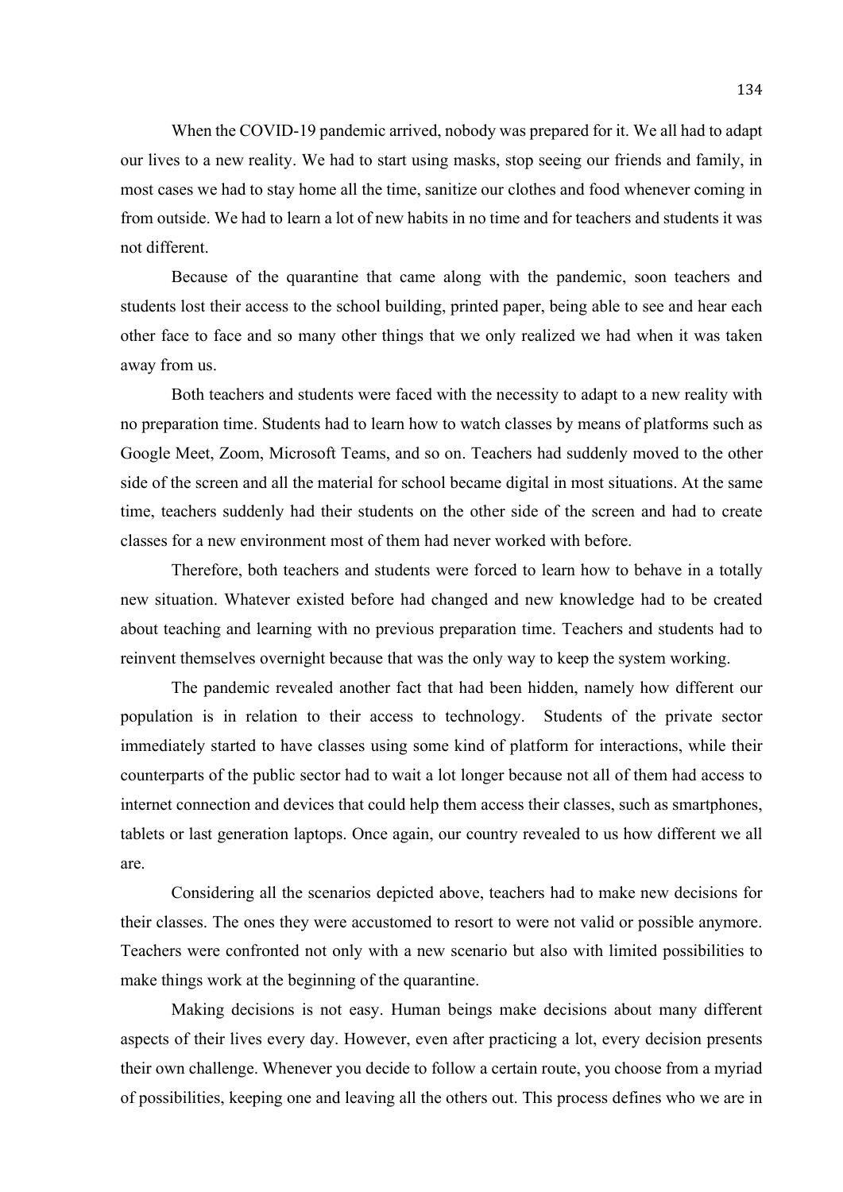When the COVID-19 pandemic arrived, nobody was prepared for it. We all had to adapt our lives to a new reality. We had to start using masks, stop seeing our friends and family, in most cases we had to stay home all the time, sanitize our clothes and food whenever coming in from outside. We had to learn a lot of new habits in no time and for teachers and students it was not different.

Because of the quarantine that came along with the pandemic, soon teachers and students lost their access to the school building, printed paper, being able to see and hear each other face to face and so many other things that we only realized we had when it was taken away from us.

Both teachers and students were faced with the necessity to adapt to a new reality with no preparation time. Students had to learn how to watch classes by means of platforms such as Google Meet, Zoom, Microsoft Teams, and so on. Teachers had suddenly moved to the other side of the screen and all the material for school became digital in most situations. At the same time, teachers suddenly had their students on the other side of the screen and had to create classes for a new environment most of them had never worked with before.

Therefore, both teachers and students were forced to learn how to behave in a totally new situation. Whatever existed before had changed and new knowledge had to be created about teaching and learning with no previous preparation time. Teachers and students had to reinvent themselves overnight because that was the only way to keep the system working.

The pandemic revealed another fact that had been hidden, namely how different our population is in relation to their access to technology. Students of the private sector immediately started to have classes using some kind of platform for interactions, while their counterparts of the public sector had to wait a lot longer because not all of them had access to internet connection and devices that could help them access their classes, such as smartphones, tablets or last generation laptops. Once again, our country revealed to us how different we all are.

 Considering all the scenarios depicted above, teachers had to make new decisions for their classes. The ones they were accustomed to resort to were not valid or possible anymore. Teachers were confronted not only with a new scenario but also with limited possibilities to make things work at the beginning of the quarantine.

Making decisions is not easy. Human beings make decisions about many different aspects of their lives every day. However, even after practicing a lot, every decision presents their own challenge. Whenever you decide to follow a certain route, you choose from a myriad of possibilities, keeping one and leaving all the others out. This process defines who we are in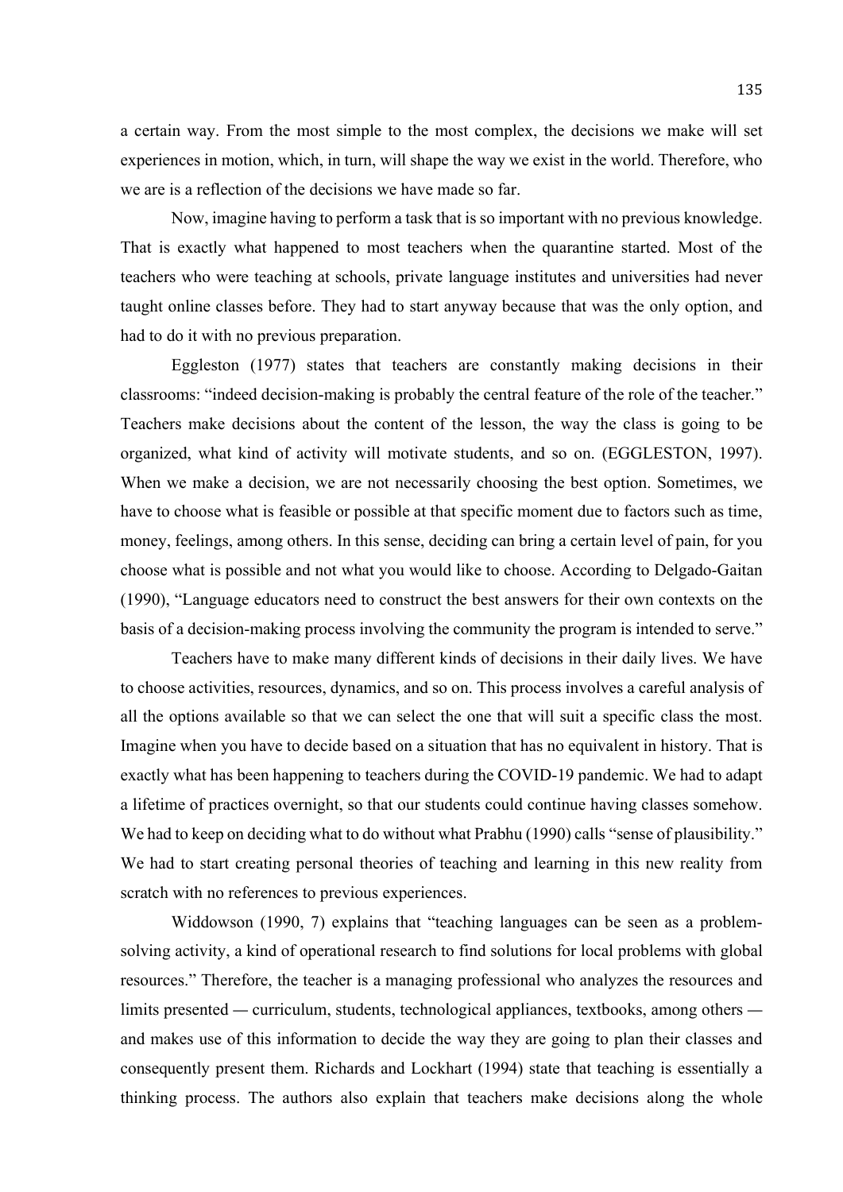a certain way. From the most simple to the most complex, the decisions we make will set experiences in motion, which, in turn, will shape the way we exist in the world. Therefore, who we are is a reflection of the decisions we have made so far.

Now, imagine having to perform a task that is so important with no previous knowledge. That is exactly what happened to most teachers when the quarantine started. Most of the teachers who were teaching at schools, private language institutes and universities had never taught online classes before. They had to start anyway because that was the only option, and had to do it with no previous preparation.

Eggleston (1977) states that teachers are constantly making decisions in their classrooms: "indeed decision-making is probably the central feature of the role of the teacher." Teachers make decisions about the content of the lesson, the way the class is going to be organized, what kind of activity will motivate students, and so on. (EGGLESTON, 1997). When we make a decision, we are not necessarily choosing the best option. Sometimes, we have to choose what is feasible or possible at that specific moment due to factors such as time, money, feelings, among others. In this sense, deciding can bring a certain level of pain, for you choose what is possible and not what you would like to choose. According to Delgado-Gaitan (1990), "Language educators need to construct the best answers for their own contexts on the basis of a decision-making process involving the community the program is intended to serve."

 Teachers have to make many different kinds of decisions in their daily lives. We have to choose activities, resources, dynamics, and so on. This process involves a careful analysis of all the options available so that we can select the one that will suit a specific class the most. Imagine when you have to decide based on a situation that has no equivalent in history. That is exactly what has been happening to teachers during the COVID-19 pandemic. We had to adapt a lifetime of practices overnight, so that our students could continue having classes somehow. We had to keep on deciding what to do without what Prabhu (1990) calls "sense of plausibility." We had to start creating personal theories of teaching and learning in this new reality from scratch with no references to previous experiences.

 Widdowson (1990, 7) explains that "teaching languages can be seen as a problemsolving activity, a kind of operational research to find solutions for local problems with global resources." Therefore, the teacher is a managing professional who analyzes the resources and limits presented — curriculum, students, technological appliances, textbooks, among others and makes use of this information to decide the way they are going to plan their classes and consequently present them. Richards and Lockhart (1994) state that teaching is essentially a thinking process. The authors also explain that teachers make decisions along the whole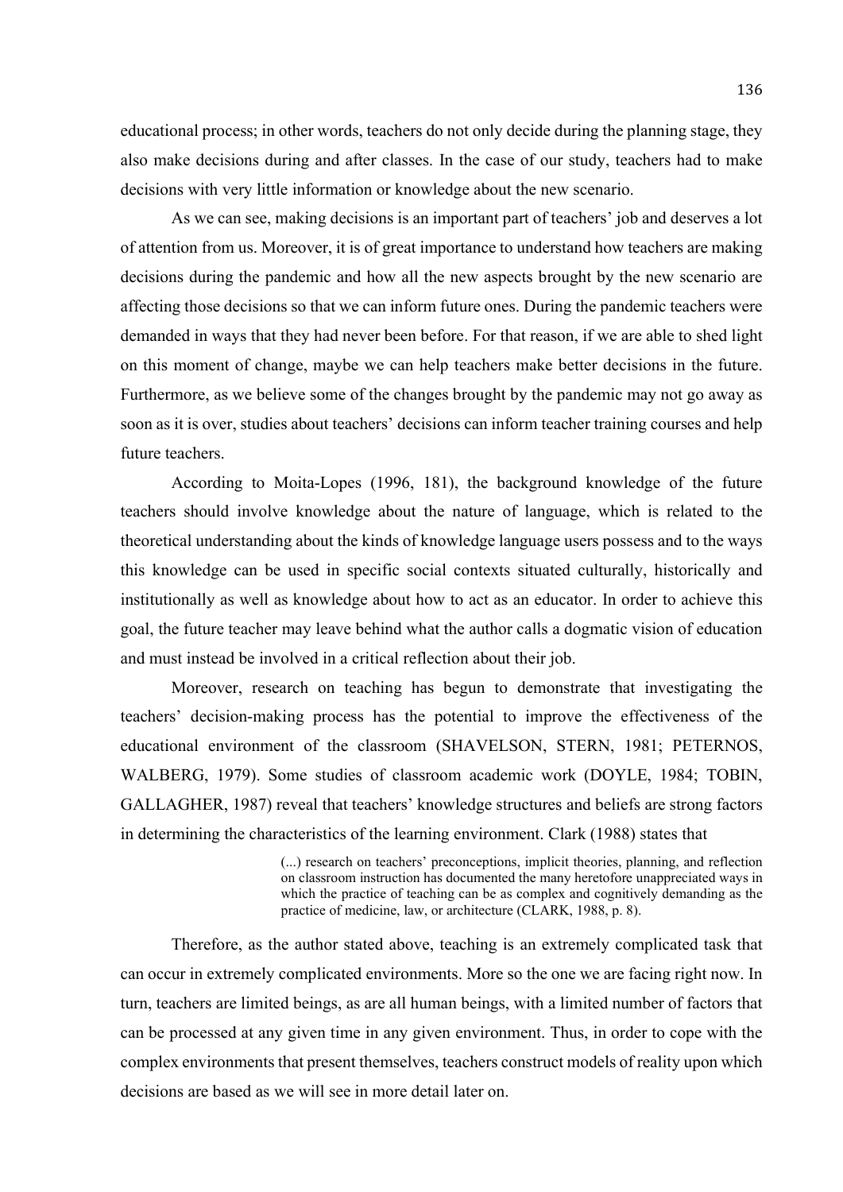educational process; in other words, teachers do not only decide during the planning stage, they also make decisions during and after classes. In the case of our study, teachers had to make decisions with very little information or knowledge about the new scenario.

As we can see, making decisions is an important part of teachers' job and deserves a lot of attention from us. Moreover, it is of great importance to understand how teachers are making decisions during the pandemic and how all the new aspects brought by the new scenario are affecting those decisions so that we can inform future ones. During the pandemic teachers were demanded in ways that they had never been before. For that reason, if we are able to shed light on this moment of change, maybe we can help teachers make better decisions in the future. Furthermore, as we believe some of the changes brought by the pandemic may not go away as soon as it is over, studies about teachers' decisions can inform teacher training courses and help future teachers.

According to Moita-Lopes (1996, 181), the background knowledge of the future teachers should involve knowledge about the nature of language, which is related to the theoretical understanding about the kinds of knowledge language users possess and to the ways this knowledge can be used in specific social contexts situated culturally, historically and institutionally as well as knowledge about how to act as an educator. In order to achieve this goal, the future teacher may leave behind what the author calls a dogmatic vision of education and must instead be involved in a critical reflection about their job.

Moreover, research on teaching has begun to demonstrate that investigating the teachers' decision-making process has the potential to improve the effectiveness of the educational environment of the classroom (SHAVELSON, STERN, 1981; PETERNOS, WALBERG, 1979). Some studies of classroom academic work (DOYLE, 1984; TOBIN, GALLAGHER, 1987) reveal that teachers' knowledge structures and beliefs are strong factors in determining the characteristics of the learning environment. Clark (1988) states that

> (...) research on teachers' preconceptions, implicit theories, planning, and reflection on classroom instruction has documented the many heretofore unappreciated ways in which the practice of teaching can be as complex and cognitively demanding as the practice of medicine, law, or architecture (CLARK, 1988, p. 8).

 Therefore, as the author stated above, teaching is an extremely complicated task that can occur in extremely complicated environments. More so the one we are facing right now. In turn, teachers are limited beings, as are all human beings, with a limited number of factors that can be processed at any given time in any given environment. Thus, in order to cope with the complex environments that present themselves, teachers construct models of reality upon which decisions are based as we will see in more detail later on.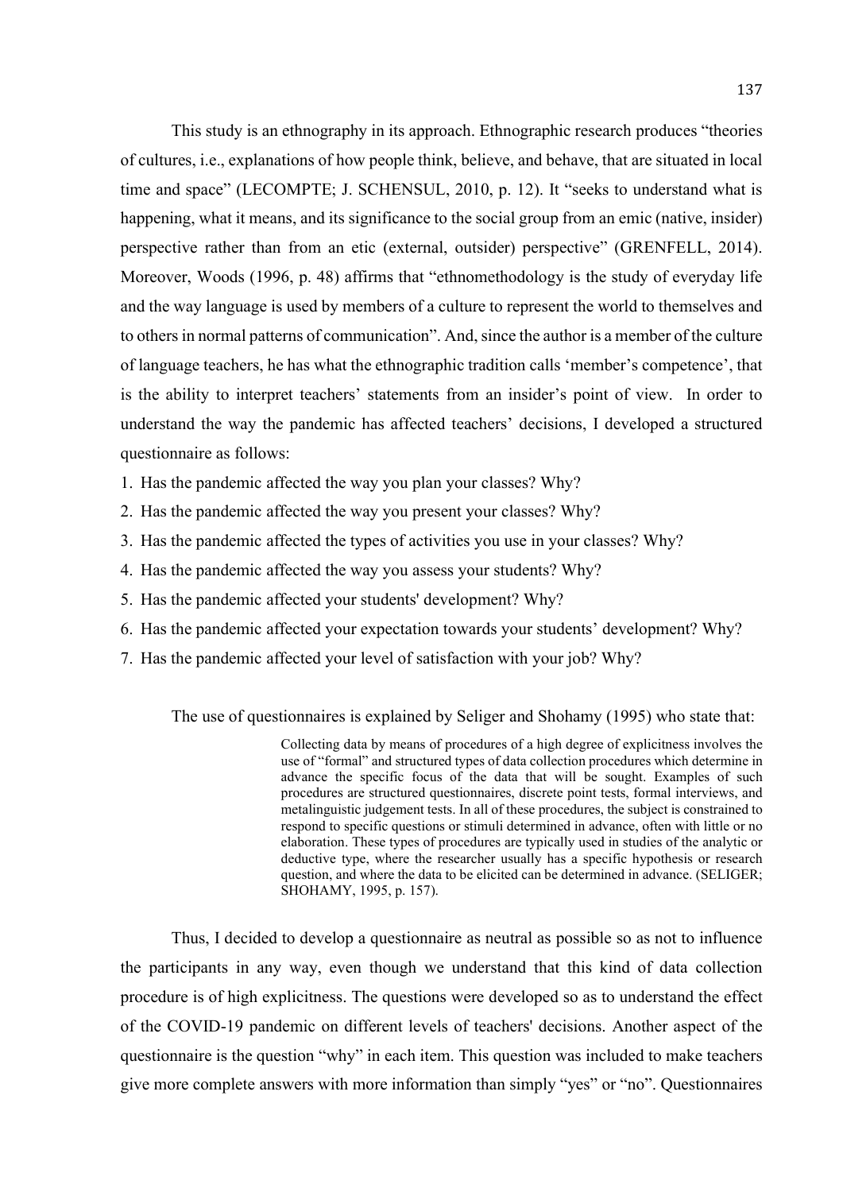This study is an ethnography in its approach. Ethnographic research produces "theories of cultures, i.e., explanations of how people think, believe, and behave, that are situated in local time and space" (LECOMPTE; J. SCHENSUL, 2010, p. 12). It "seeks to understand what is happening, what it means, and its significance to the social group from an emic (native, insider) perspective rather than from an etic (external, outsider) perspective" (GRENFELL, 2014). Moreover, Woods (1996, p. 48) affirms that "ethnomethodology is the study of everyday life and the way language is used by members of a culture to represent the world to themselves and to others in normal patterns of communication". And, since the author is a member of the culture of language teachers, he has what the ethnographic tradition calls 'member's competence', that is the ability to interpret teachers' statements from an insider's point of view. In order to understand the way the pandemic has affected teachers' decisions, I developed a structured questionnaire as follows:

- 1. Has the pandemic affected the way you plan your classes? Why?
- 2. Has the pandemic affected the way you present your classes? Why?
- 3. Has the pandemic affected the types of activities you use in your classes? Why?
- 4. Has the pandemic affected the way you assess your students? Why?
- 5. Has the pandemic affected your students' development? Why?
- 6. Has the pandemic affected your expectation towards your students' development? Why?
- 7. Has the pandemic affected your level of satisfaction with your job? Why?

The use of questionnaires is explained by Seliger and Shohamy (1995) who state that:

Collecting data by means of procedures of a high degree of explicitness involves the use of "formal" and structured types of data collection procedures which determine in advance the specific focus of the data that will be sought. Examples of such procedures are structured questionnaires, discrete point tests, formal interviews, and metalinguistic judgement tests. In all of these procedures, the subject is constrained to respond to specific questions or stimuli determined in advance, often with little or no elaboration. These types of procedures are typically used in studies of the analytic or deductive type, where the researcher usually has a specific hypothesis or research question, and where the data to be elicited can be determined in advance. (SELIGER; SHOHAMY, 1995, p. 157).

 Thus, I decided to develop a questionnaire as neutral as possible so as not to influence the participants in any way, even though we understand that this kind of data collection procedure is of high explicitness. The questions were developed so as to understand the effect of the COVID-19 pandemic on different levels of teachers' decisions. Another aspect of the questionnaire is the question "why" in each item. This question was included to make teachers give more complete answers with more information than simply "yes" or "no". Questionnaires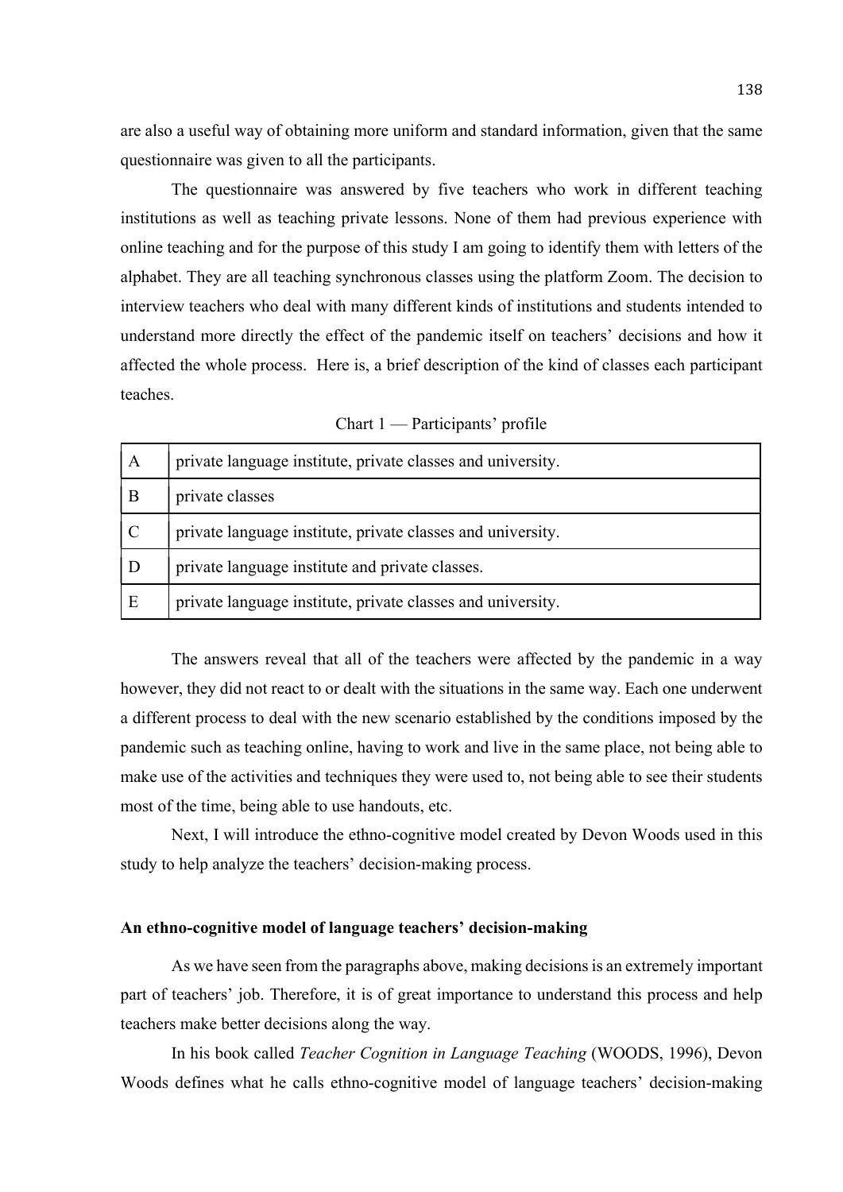are also a useful way of obtaining more uniform and standard information, given that the same questionnaire was given to all the participants.

 The questionnaire was answered by five teachers who work in different teaching institutions as well as teaching private lessons. None of them had previous experience with online teaching and for the purpose of this study I am going to identify them with letters of the alphabet. They are all teaching synchronous classes using the platform Zoom. The decision to interview teachers who deal with many different kinds of institutions and students intended to understand more directly the effect of the pandemic itself on teachers' decisions and how it affected the whole process. Here is, a brief description of the kind of classes each participant teaches.

| A             | private language institute, private classes and university. |
|---------------|-------------------------------------------------------------|
| B             | private classes                                             |
| $\mathcal{C}$ | private language institute, private classes and university. |
| D             | private language institute and private classes.             |
| E             | private language institute, private classes and university. |

Chart 1 — Participants' profile

The answers reveal that all of the teachers were affected by the pandemic in a way however, they did not react to or dealt with the situations in the same way. Each one underwent a different process to deal with the new scenario established by the conditions imposed by the pandemic such as teaching online, having to work and live in the same place, not being able to make use of the activities and techniques they were used to, not being able to see their students most of the time, being able to use handouts, etc.

Next, I will introduce the ethno-cognitive model created by Devon Woods used in this study to help analyze the teachers' decision-making process.

### An ethno-cognitive model of language teachers' decision-making

 As we have seen from the paragraphs above, making decisions is an extremely important part of teachers' job. Therefore, it is of great importance to understand this process and help teachers make better decisions along the way.

In his book called Teacher Cognition in Language Teaching (WOODS, 1996), Devon Woods defines what he calls ethno-cognitive model of language teachers' decision-making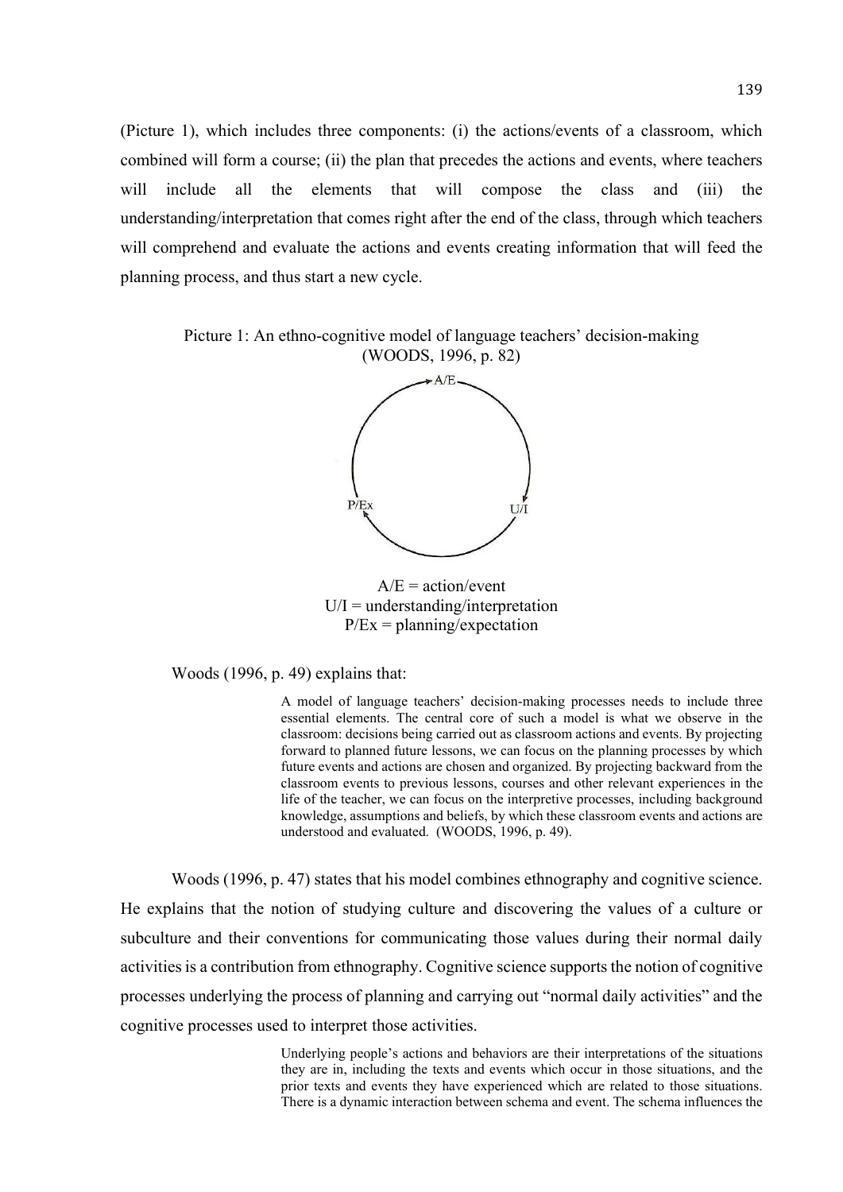(Picture 1), which includes three components: (i) the actions/events of a classroom, which combined will form a course; (ii) the plan that precedes the actions and events, where teachers will include all the elements that will compose the class and (iii) the understanding/interpretation that comes right after the end of the class, through which teachers will comprehend and evaluate the actions and events creating information that will feed the planning process, and thus start a new cycle.

Picture 1: An ethno-cognitive model of language teachers' decision-making (WOODS, 1996, p. 82)



 $A/E = action/event$  $U/I =$  understanding/interpretation  $P/Ex = planning/expectation$ 

Woods (1996, p. 49) explains that:

A model of language teachers' decision-making processes needs to include three essential elements. The central core of such a model is what we observe in the classroom: decisions being carried out as classroom actions and events. By projecting forward to planned future lessons, we can focus on the planning processes by which future events and actions are chosen and organized. By projecting backward from the classroom events to previous lessons, courses and other relevant experiences in the life of the teacher, we can focus on the interpretive processes, including background knowledge, assumptions and beliefs, by which these classroom events and actions are understood and evaluated. (WOODS, 1996, p. 49).

Woods (1996, p. 47) states that his model combines ethnography and cognitive science. He explains that the notion of studying culture and discovering the values of a culture or subculture and their conventions for communicating those values during their normal daily activities is a contribution from ethnography. Cognitive science supports the notion of cognitive processes underlying the process of planning and carrying out "normal daily activities" and the cognitive processes used to interpret those activities.

> Underlying people's actions and behaviors are their interpretations of the situations they are in, including the texts and events which occur in those situations, and the prior texts and events they have experienced which are related to those situations. There is a dynamic interaction between schema and event. The schema influences the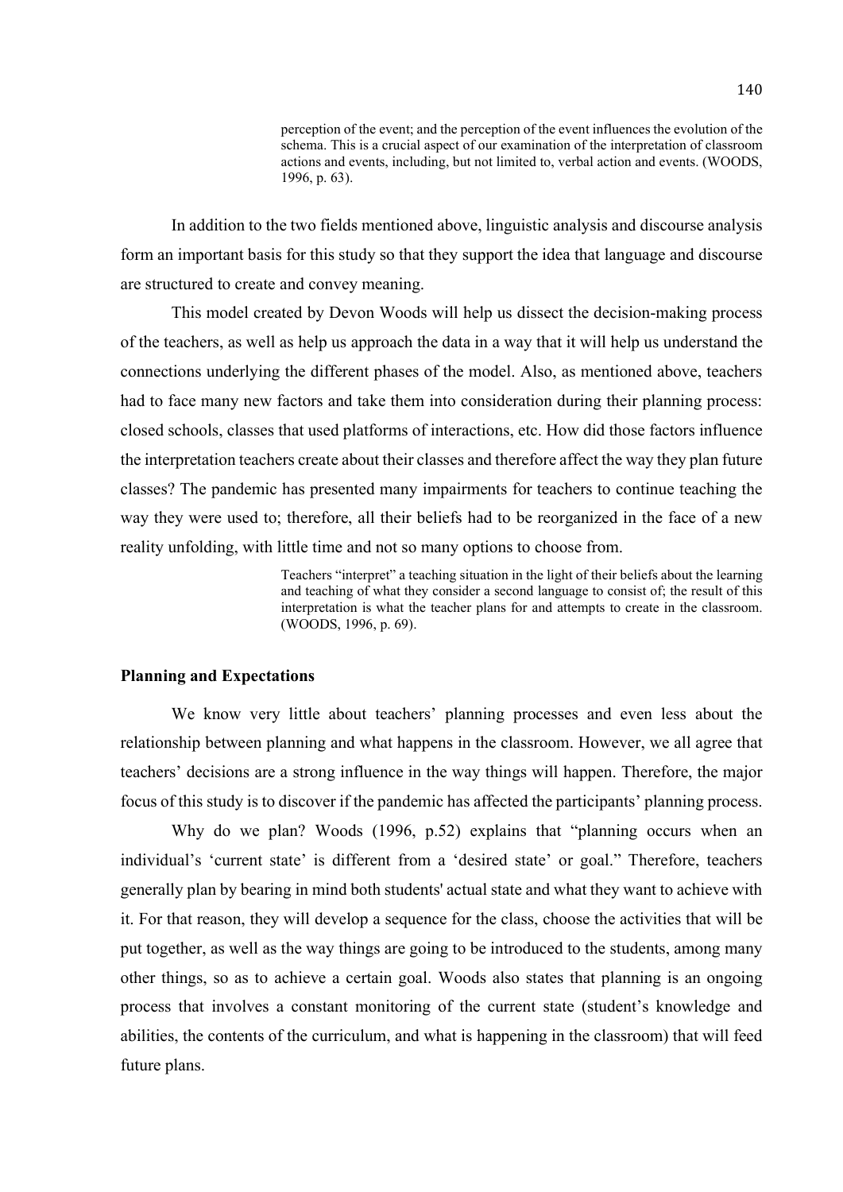perception of the event; and the perception of the event influences the evolution of the schema. This is a crucial aspect of our examination of the interpretation of classroom actions and events, including, but not limited to, verbal action and events. (WOODS, 1996, p. 63).

 In addition to the two fields mentioned above, linguistic analysis and discourse analysis form an important basis for this study so that they support the idea that language and discourse are structured to create and convey meaning.

 This model created by Devon Woods will help us dissect the decision-making process of the teachers, as well as help us approach the data in a way that it will help us understand the connections underlying the different phases of the model. Also, as mentioned above, teachers had to face many new factors and take them into consideration during their planning process: closed schools, classes that used platforms of interactions, etc. How did those factors influence the interpretation teachers create about their classes and therefore affect the way they plan future classes? The pandemic has presented many impairments for teachers to continue teaching the way they were used to; therefore, all their beliefs had to be reorganized in the face of a new reality unfolding, with little time and not so many options to choose from.

> Teachers "interpret" a teaching situation in the light of their beliefs about the learning and teaching of what they consider a second language to consist of; the result of this interpretation is what the teacher plans for and attempts to create in the classroom. (WOODS, 1996, p. 69).

# Planning and Expectations

 We know very little about teachers' planning processes and even less about the relationship between planning and what happens in the classroom. However, we all agree that teachers' decisions are a strong influence in the way things will happen. Therefore, the major focus of this study is to discover if the pandemic has affected the participants' planning process.

 Why do we plan? Woods (1996, p.52) explains that "planning occurs when an individual's 'current state' is different from a 'desired state' or goal." Therefore, teachers generally plan by bearing in mind both students' actual state and what they want to achieve with it. For that reason, they will develop a sequence for the class, choose the activities that will be put together, as well as the way things are going to be introduced to the students, among many other things, so as to achieve a certain goal. Woods also states that planning is an ongoing process that involves a constant monitoring of the current state (student's knowledge and abilities, the contents of the curriculum, and what is happening in the classroom) that will feed future plans.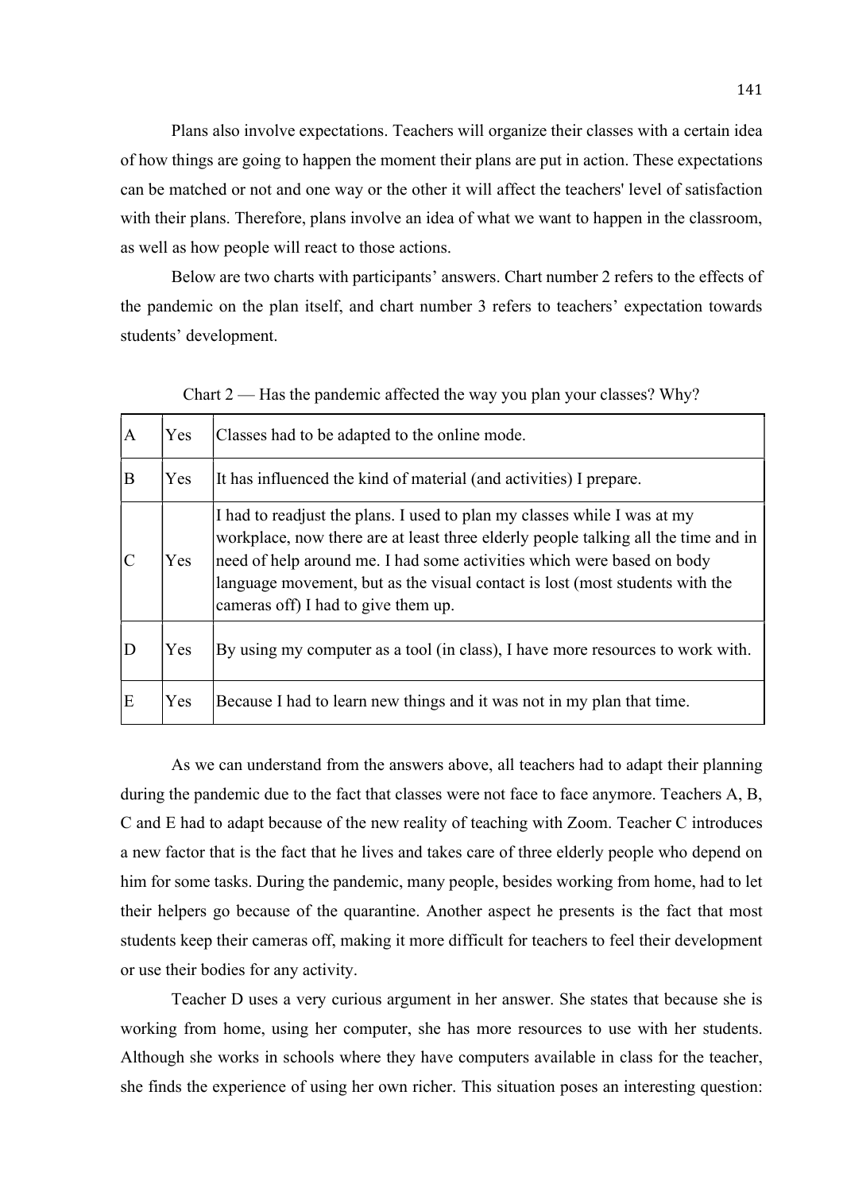Plans also involve expectations. Teachers will organize their classes with a certain idea of how things are going to happen the moment their plans are put in action. These expectations can be matched or not and one way or the other it will affect the teachers' level of satisfaction with their plans. Therefore, plans involve an idea of what we want to happen in the classroom, as well as how people will react to those actions.

 Below are two charts with participants' answers. Chart number 2 refers to the effects of the pandemic on the plan itself, and chart number 3 refers to teachers' expectation towards students' development.

| $\overline{A}$ | Yes | Classes had to be adapted to the online mode.                                                                                                                                                                                                                                                                                                                   |
|----------------|-----|-----------------------------------------------------------------------------------------------------------------------------------------------------------------------------------------------------------------------------------------------------------------------------------------------------------------------------------------------------------------|
| B              | Yes | It has influenced the kind of material (and activities) I prepare.                                                                                                                                                                                                                                                                                              |
|                | Yes | I had to readjust the plans. I used to plan my classes while I was at my<br>workplace, now there are at least three elderly people talking all the time and in<br>need of help around me. I had some activities which were based on body<br>language movement, but as the visual contact is lost (most students with the<br>cameras off) I had to give them up. |
|                | Yes | By using my computer as a tool (in class), I have more resources to work with.                                                                                                                                                                                                                                                                                  |
| E              | Yes | Because I had to learn new things and it was not in my plan that time.                                                                                                                                                                                                                                                                                          |

Chart 2 — Has the pandemic affected the way you plan your classes? Why?

 As we can understand from the answers above, all teachers had to adapt their planning during the pandemic due to the fact that classes were not face to face anymore. Teachers A, B, C and E had to adapt because of the new reality of teaching with Zoom. Teacher C introduces a new factor that is the fact that he lives and takes care of three elderly people who depend on him for some tasks. During the pandemic, many people, besides working from home, had to let their helpers go because of the quarantine. Another aspect he presents is the fact that most students keep their cameras off, making it more difficult for teachers to feel their development or use their bodies for any activity.

 Teacher D uses a very curious argument in her answer. She states that because she is working from home, using her computer, she has more resources to use with her students. Although she works in schools where they have computers available in class for the teacher, she finds the experience of using her own richer. This situation poses an interesting question: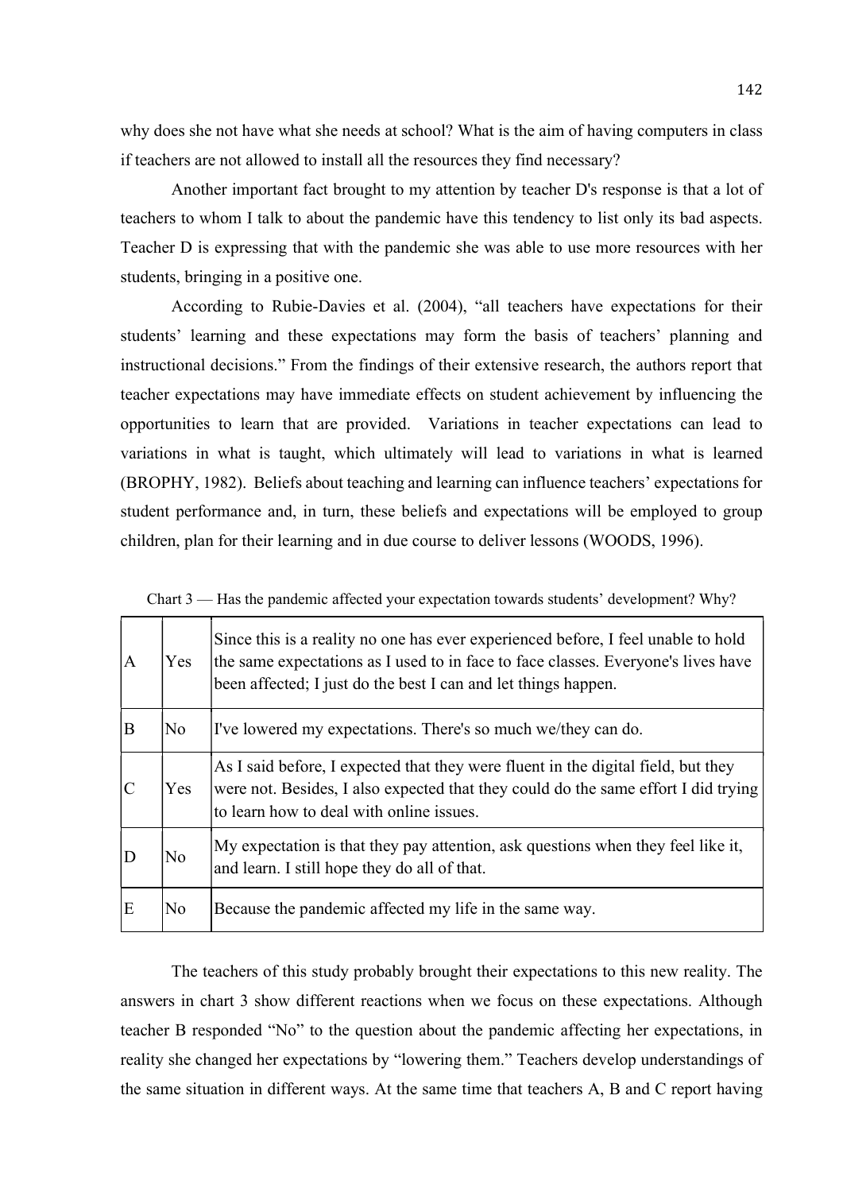why does she not have what she needs at school? What is the aim of having computers in class if teachers are not allowed to install all the resources they find necessary?

 Another important fact brought to my attention by teacher D's response is that a lot of teachers to whom I talk to about the pandemic have this tendency to list only its bad aspects. Teacher D is expressing that with the pandemic she was able to use more resources with her students, bringing in a positive one.

According to Rubie-Davies et al. (2004), "all teachers have expectations for their students' learning and these expectations may form the basis of teachers' planning and instructional decisions." From the findings of their extensive research, the authors report that teacher expectations may have immediate effects on student achievement by influencing the opportunities to learn that are provided. Variations in teacher expectations can lead to variations in what is taught, which ultimately will lead to variations in what is learned (BROPHY, 1982). Beliefs about teaching and learning can influence teachers' expectations for student performance and, in turn, these beliefs and expectations will be employed to group children, plan for their learning and in due course to deliver lessons (WOODS, 1996).

| $\Lambda$ | Yes | Since this is a reality no one has ever experienced before, I feel unable to hold<br>the same expectations as I used to in face to face classes. Everyone's lives have<br>been affected; I just do the best I can and let things happen. |
|-----------|-----|------------------------------------------------------------------------------------------------------------------------------------------------------------------------------------------------------------------------------------------|
| B         | No  | I've lowered my expectations. There's so much we/they can do.                                                                                                                                                                            |
|           | Yes | As I said before, I expected that they were fluent in the digital field, but they<br>were not. Besides, I also expected that they could do the same effort I did trying<br>to learn how to deal with online issues.                      |
|           | No  | My expectation is that they pay attention, ask questions when they feel like it,<br>and learn. I still hope they do all of that.                                                                                                         |
| E         | No  | Because the pandemic affected my life in the same way.                                                                                                                                                                                   |

Chart 3 — Has the pandemic affected your expectation towards students' development? Why?

 The teachers of this study probably brought their expectations to this new reality. The answers in chart 3 show different reactions when we focus on these expectations. Although teacher B responded "No" to the question about the pandemic affecting her expectations, in reality she changed her expectations by "lowering them." Teachers develop understandings of the same situation in different ways. At the same time that teachers A, B and C report having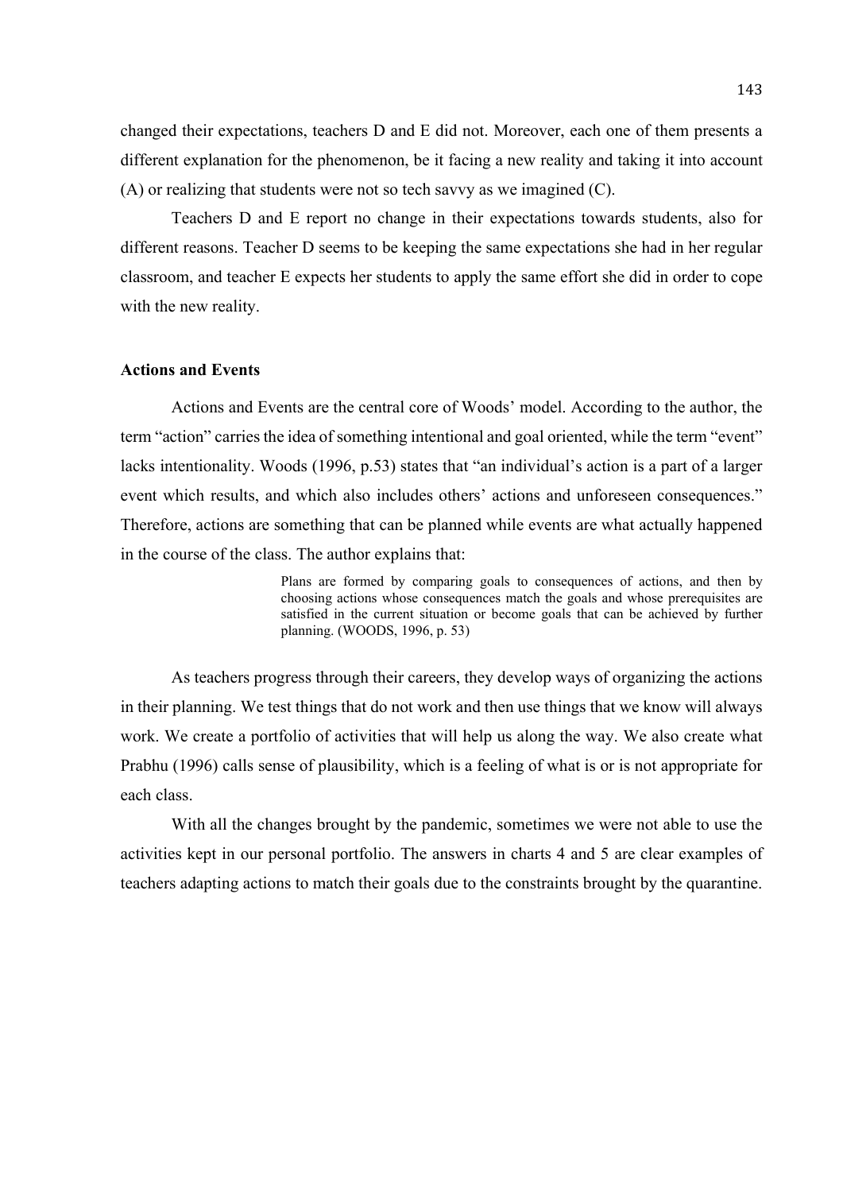changed their expectations, teachers D and E did not. Moreover, each one of them presents a different explanation for the phenomenon, be it facing a new reality and taking it into account (A) or realizing that students were not so tech savvy as we imagined (C).

 Teachers D and E report no change in their expectations towards students, also for different reasons. Teacher D seems to be keeping the same expectations she had in her regular classroom, and teacher E expects her students to apply the same effort she did in order to cope with the new reality.

### Actions and Events

 Actions and Events are the central core of Woods' model. According to the author, the term "action" carries the idea of something intentional and goal oriented, while the term "event" lacks intentionality. Woods (1996, p.53) states that "an individual's action is a part of a larger event which results, and which also includes others' actions and unforeseen consequences." Therefore, actions are something that can be planned while events are what actually happened in the course of the class. The author explains that:

> Plans are formed by comparing goals to consequences of actions, and then by choosing actions whose consequences match the goals and whose prerequisites are satisfied in the current situation or become goals that can be achieved by further planning. (WOODS, 1996, p. 53)

 As teachers progress through their careers, they develop ways of organizing the actions in their planning. We test things that do not work and then use things that we know will always work. We create a portfolio of activities that will help us along the way. We also create what Prabhu (1996) calls sense of plausibility, which is a feeling of what is or is not appropriate for each class.

With all the changes brought by the pandemic, sometimes we were not able to use the activities kept in our personal portfolio. The answers in charts 4 and 5 are clear examples of teachers adapting actions to match their goals due to the constraints brought by the quarantine.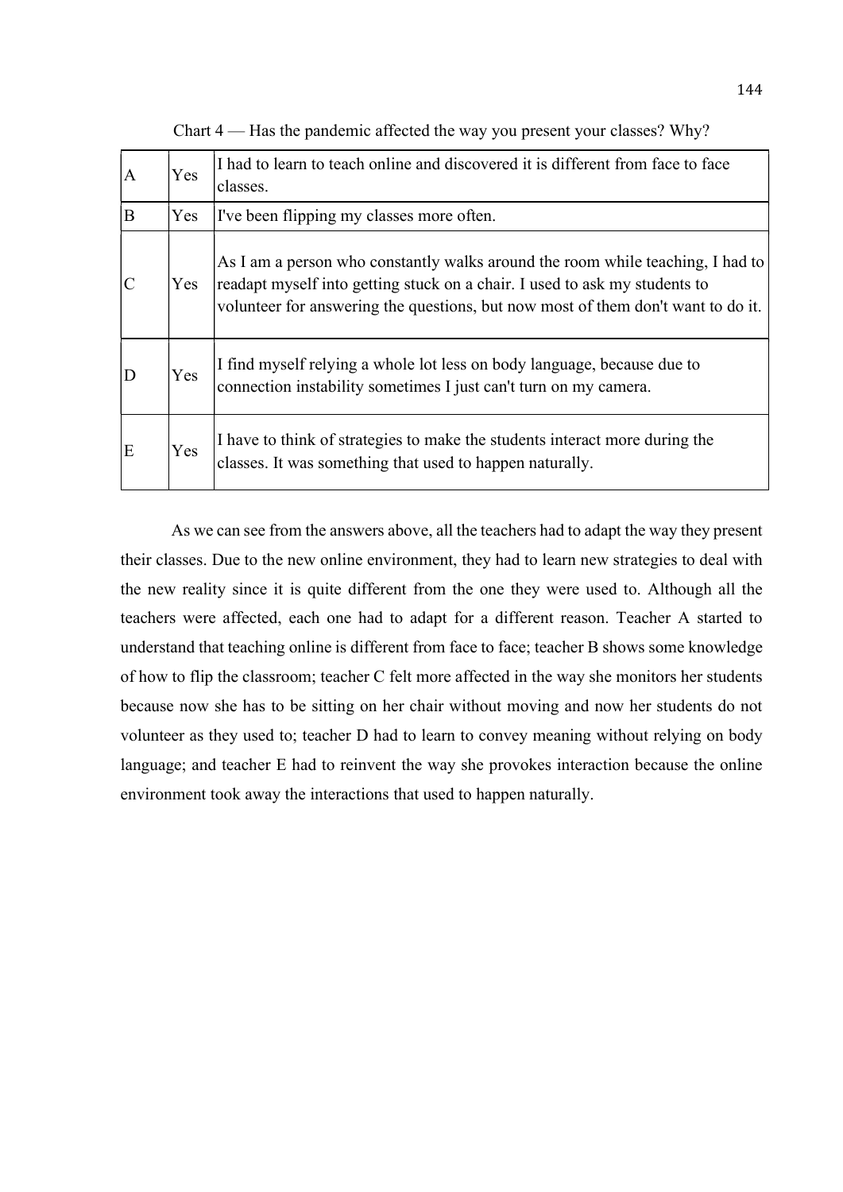| $\overline{A}$ | Yes | I had to learn to teach online and discovered it is different from face to face<br>classes.                                                                                                                                                      |
|----------------|-----|--------------------------------------------------------------------------------------------------------------------------------------------------------------------------------------------------------------------------------------------------|
| B              | Yes | I've been flipping my classes more often.                                                                                                                                                                                                        |
|                | Yes | As I am a person who constantly walks around the room while teaching, I had to<br>readapt myself into getting stuck on a chair. I used to ask my students to<br>volunteer for answering the questions, but now most of them don't want to do it. |
|                | Yes | I find myself relying a whole lot less on body language, because due to<br>connection instability sometimes I just can't turn on my camera.                                                                                                      |
| E              | Yes | I have to think of strategies to make the students interact more during the<br>classes. It was something that used to happen naturally.                                                                                                          |

Chart 4 — Has the pandemic affected the way you present your classes? Why?

 As we can see from the answers above, all the teachers had to adapt the way they present their classes. Due to the new online environment, they had to learn new strategies to deal with the new reality since it is quite different from the one they were used to. Although all the teachers were affected, each one had to adapt for a different reason. Teacher A started to understand that teaching online is different from face to face; teacher B shows some knowledge of how to flip the classroom; teacher C felt more affected in the way she monitors her students because now she has to be sitting on her chair without moving and now her students do not volunteer as they used to; teacher D had to learn to convey meaning without relying on body language; and teacher E had to reinvent the way she provokes interaction because the online environment took away the interactions that used to happen naturally.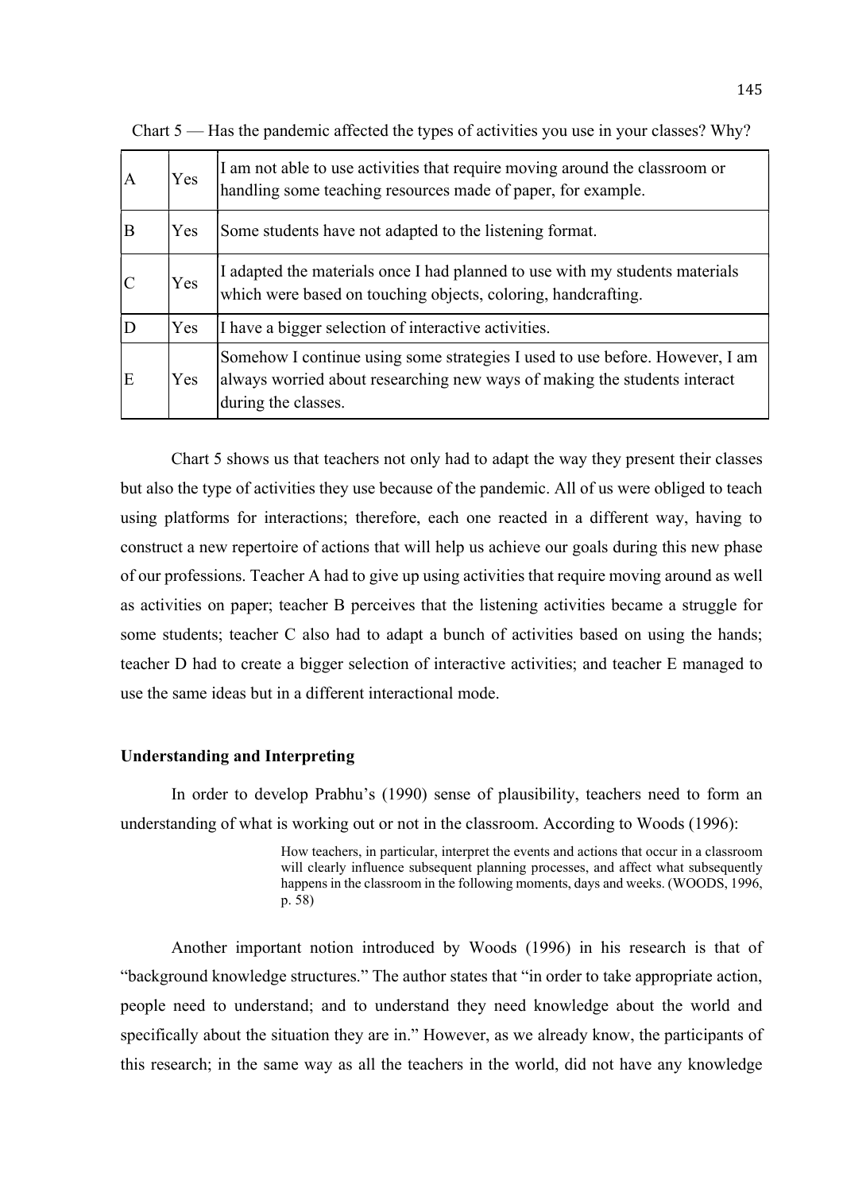| IА | Yes | I am not able to use activities that require moving around the classroom or<br>handling some teaching resources made of paper, for example.                                      |
|----|-----|----------------------------------------------------------------------------------------------------------------------------------------------------------------------------------|
| B  | Yes | Some students have not adapted to the listening format.                                                                                                                          |
|    | Yes | I adapted the materials once I had planned to use with my students materials<br>which were based on touching objects, coloring, handcrafting.                                    |
| 'D | Yes | I have a bigger selection of interactive activities.                                                                                                                             |
| E  | Yes | Somehow I continue using some strategies I used to use before. However, I am<br>always worried about researching new ways of making the students interact<br>during the classes. |

Chart 5 — Has the pandemic affected the types of activities you use in your classes? Why?

 Chart 5 shows us that teachers not only had to adapt the way they present their classes but also the type of activities they use because of the pandemic. All of us were obliged to teach using platforms for interactions; therefore, each one reacted in a different way, having to construct a new repertoire of actions that will help us achieve our goals during this new phase of our professions. Teacher A had to give up using activities that require moving around as well as activities on paper; teacher B perceives that the listening activities became a struggle for some students; teacher C also had to adapt a bunch of activities based on using the hands; teacher D had to create a bigger selection of interactive activities; and teacher E managed to use the same ideas but in a different interactional mode.

## Understanding and Interpreting

 In order to develop Prabhu's (1990) sense of plausibility, teachers need to form an understanding of what is working out or not in the classroom. According to Woods (1996):

> How teachers, in particular, interpret the events and actions that occur in a classroom will clearly influence subsequent planning processes, and affect what subsequently happens in the classroom in the following moments, days and weeks. (WOODS, 1996, p. 58)

 Another important notion introduced by Woods (1996) in his research is that of "background knowledge structures." The author states that "in order to take appropriate action, people need to understand; and to understand they need knowledge about the world and specifically about the situation they are in." However, as we already know, the participants of this research; in the same way as all the teachers in the world, did not have any knowledge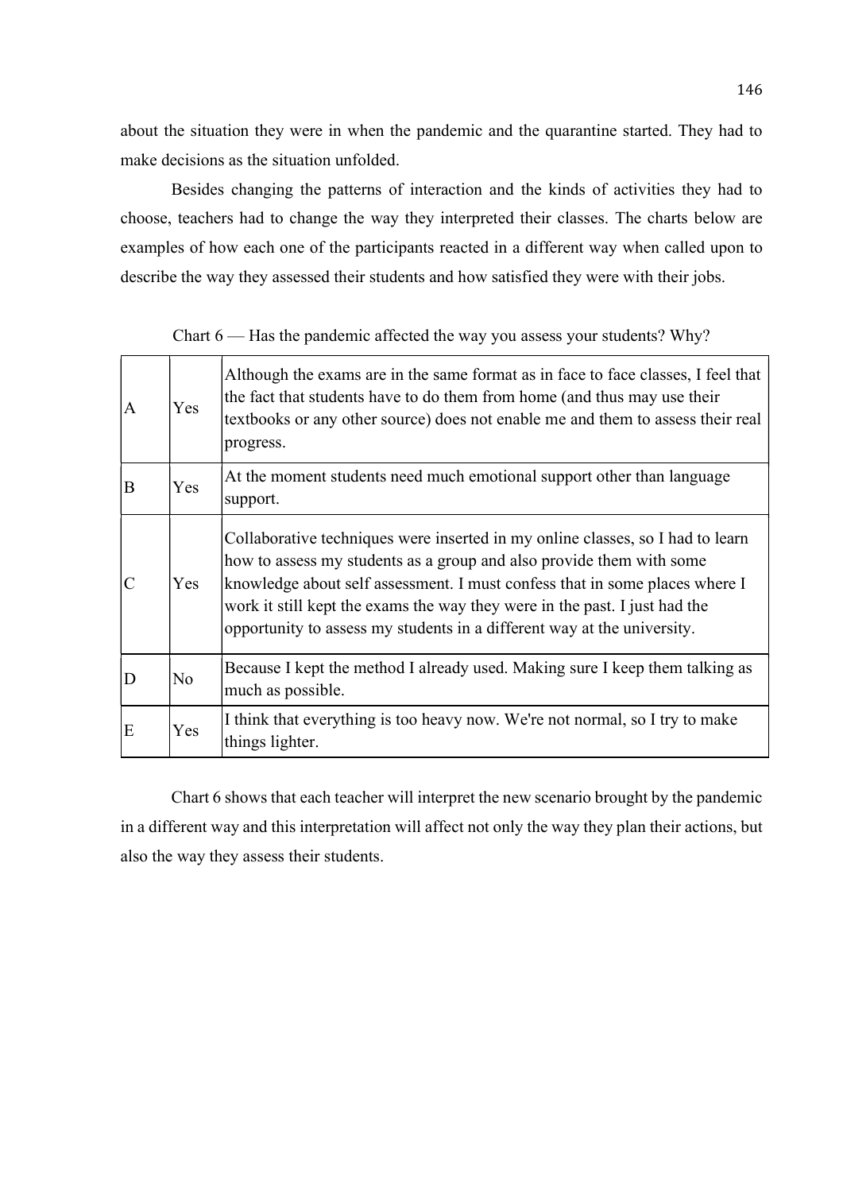about the situation they were in when the pandemic and the quarantine started. They had to make decisions as the situation unfolded.

 Besides changing the patterns of interaction and the kinds of activities they had to choose, teachers had to change the way they interpreted their classes. The charts below are examples of how each one of the participants reacted in a different way when called upon to describe the way they assessed their students and how satisfied they were with their jobs.

| A | Yes            | Although the exams are in the same format as in face to face classes, I feel that<br>the fact that students have to do them from home (and thus may use their<br>textbooks or any other source) does not enable me and them to assess their real<br>progress.                                                                                                                                  |
|---|----------------|------------------------------------------------------------------------------------------------------------------------------------------------------------------------------------------------------------------------------------------------------------------------------------------------------------------------------------------------------------------------------------------------|
| B | Yes            | At the moment students need much emotional support other than language<br>support.                                                                                                                                                                                                                                                                                                             |
|   | Yes            | Collaborative techniques were inserted in my online classes, so I had to learn<br>how to assess my students as a group and also provide them with some<br>knowledge about self assessment. I must confess that in some places where I<br>work it still kept the exams the way they were in the past. I just had the<br>opportunity to assess my students in a different way at the university. |
| D | N <sub>o</sub> | Because I kept the method I already used. Making sure I keep them talking as<br>much as possible.                                                                                                                                                                                                                                                                                              |
| E | Yes            | I think that everything is too heavy now. We're not normal, so I try to make<br>things lighter.                                                                                                                                                                                                                                                                                                |

Chart 6 — Has the pandemic affected the way you assess your students? Why?

 Chart 6 shows that each teacher will interpret the new scenario brought by the pandemic in a different way and this interpretation will affect not only the way they plan their actions, but also the way they assess their students.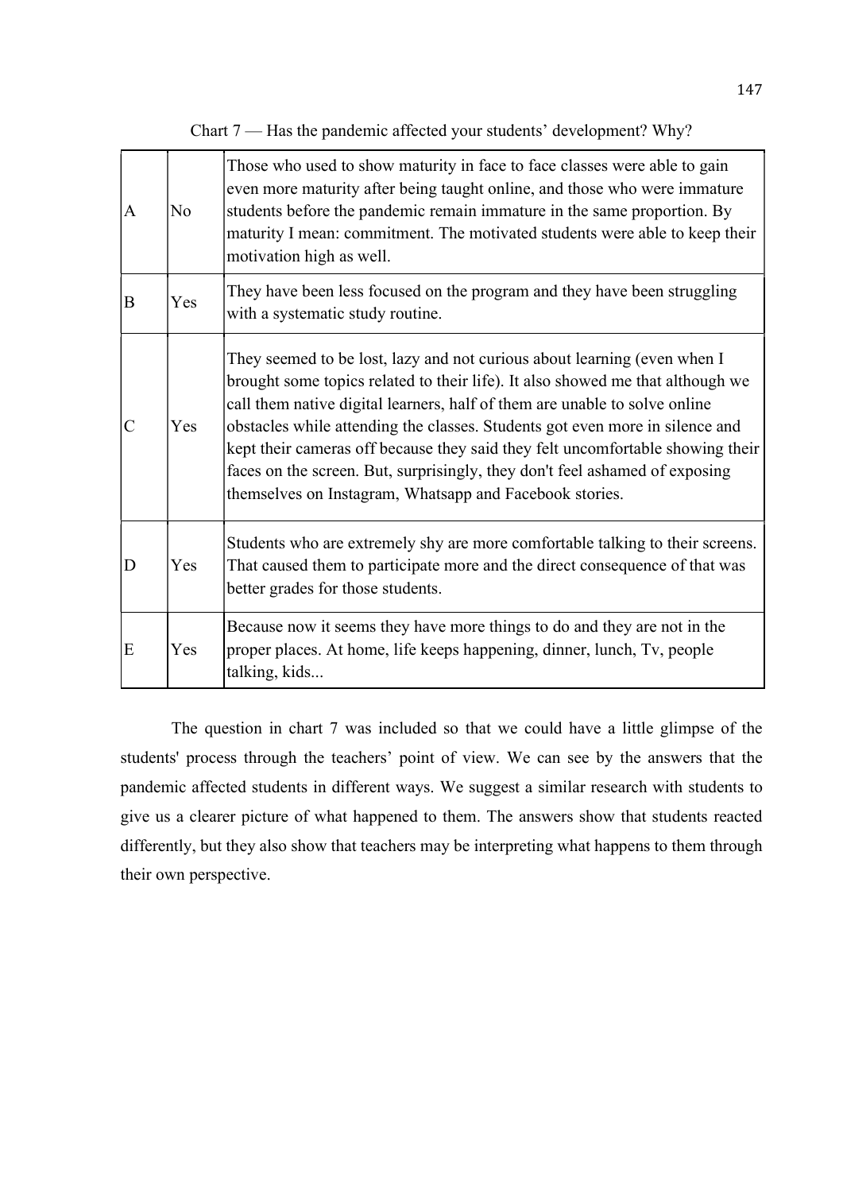| A             | No  | Those who used to show maturity in face to face classes were able to gain<br>even more maturity after being taught online, and those who were immature<br>students before the pandemic remain immature in the same proportion. By<br>maturity I mean: commitment. The motivated students were able to keep their<br>motivation high as well.                                                                                                                                                                                                         |
|---------------|-----|------------------------------------------------------------------------------------------------------------------------------------------------------------------------------------------------------------------------------------------------------------------------------------------------------------------------------------------------------------------------------------------------------------------------------------------------------------------------------------------------------------------------------------------------------|
| B             | Yes | They have been less focused on the program and they have been struggling<br>with a systematic study routine.                                                                                                                                                                                                                                                                                                                                                                                                                                         |
| $\mathcal{C}$ | Yes | They seemed to be lost, lazy and not curious about learning (even when I<br>brought some topics related to their life). It also showed me that although we<br>call them native digital learners, half of them are unable to solve online<br>obstacles while attending the classes. Students got even more in silence and<br>kept their cameras off because they said they felt uncomfortable showing their<br>faces on the screen. But, surprisingly, they don't feel ashamed of exposing<br>themselves on Instagram, Whatsapp and Facebook stories. |
| D             | Yes | Students who are extremely shy are more comfortable talking to their screens.<br>That caused them to participate more and the direct consequence of that was<br>better grades for those students.                                                                                                                                                                                                                                                                                                                                                    |
| E             | Yes | Because now it seems they have more things to do and they are not in the<br>proper places. At home, life keeps happening, dinner, lunch, Tv, people<br>talking, kids                                                                                                                                                                                                                                                                                                                                                                                 |

Chart 7 — Has the pandemic affected your students' development? Why?

 The question in chart 7 was included so that we could have a little glimpse of the students' process through the teachers' point of view. We can see by the answers that the pandemic affected students in different ways. We suggest a similar research with students to give us a clearer picture of what happened to them. The answers show that students reacted differently, but they also show that teachers may be interpreting what happens to them through their own perspective.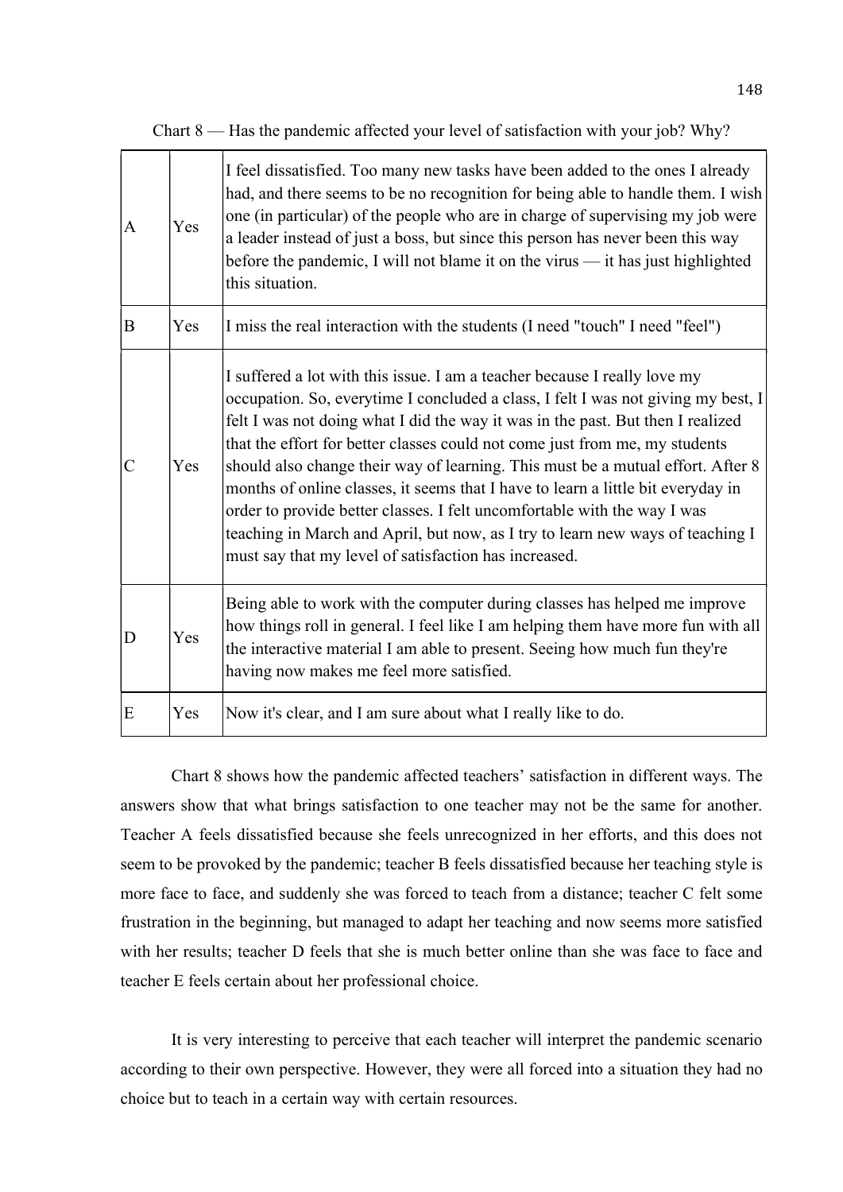| I feel dissatisfied. Too many new tasks have been added to the ones I already<br>had, and there seems to be no recognition for being able to handle them. I wish<br>one (in particular) of the people who are in charge of supervising my job were<br>Yes |
|-----------------------------------------------------------------------------------------------------------------------------------------------------------------------------------------------------------------------------------------------------------|
|                                                                                                                                                                                                                                                           |

a leader instead of just a boss, but since this person has never been this way before the pandemic, I will not blame it on the virus — it has just highlighted

Chart 8 — Has the pandemic affected your level of satisfaction with your job?  $Whv$ ?

 $\mathbf{B}$   $\mathbf{Y}$   $\mathbf{F}$   $\mathbf{Y}$   $\mathbf{F}$   $\mathbf{I}$  miss the real interaction with the students (I need "touch" I need "feel")

this situation.

| $\overline{C}$ | <b>Yes</b> | I suffered a lot with this issue. I am a teacher because I really love my<br>occupation. So, everytime I concluded a class, I felt I was not giving my best, I<br>felt I was not doing what I did the way it was in the past. But then I realized<br>that the effort for better classes could not come just from me, my students<br>should also change their way of learning. This must be a mutual effort. After 8<br>months of online classes, it seems that I have to learn a little bit everyday in<br>order to provide better classes. I felt uncomfortable with the way I was<br>teaching in March and April, but now, as I try to learn new ways of teaching I<br>must say that my level of satisfaction has increased. |
|----------------|------------|--------------------------------------------------------------------------------------------------------------------------------------------------------------------------------------------------------------------------------------------------------------------------------------------------------------------------------------------------------------------------------------------------------------------------------------------------------------------------------------------------------------------------------------------------------------------------------------------------------------------------------------------------------------------------------------------------------------------------------|
| D              | Yes        | Being able to work with the computer during classes has helped me improve<br>how things roll in general. I feel like I am helping them have more fun with all<br>the interactive material I am able to present. Seeing how much fun they're<br>having now makes me feel more satisfied.                                                                                                                                                                                                                                                                                                                                                                                                                                        |
| E              | Yes        | Now it's clear, and I am sure about what I really like to do.                                                                                                                                                                                                                                                                                                                                                                                                                                                                                                                                                                                                                                                                  |

 Chart 8 shows how the pandemic affected teachers' satisfaction in different ways. The answers show that what brings satisfaction to one teacher may not be the same for another. Teacher A feels dissatisfied because she feels unrecognized in her efforts, and this does not seem to be provoked by the pandemic; teacher B feels dissatisfied because her teaching style is more face to face, and suddenly she was forced to teach from a distance; teacher C felt some frustration in the beginning, but managed to adapt her teaching and now seems more satisfied with her results; teacher D feels that she is much better online than she was face to face and teacher E feels certain about her professional choice.

 It is very interesting to perceive that each teacher will interpret the pandemic scenario according to their own perspective. However, they were all forced into a situation they had no choice but to teach in a certain way with certain resources.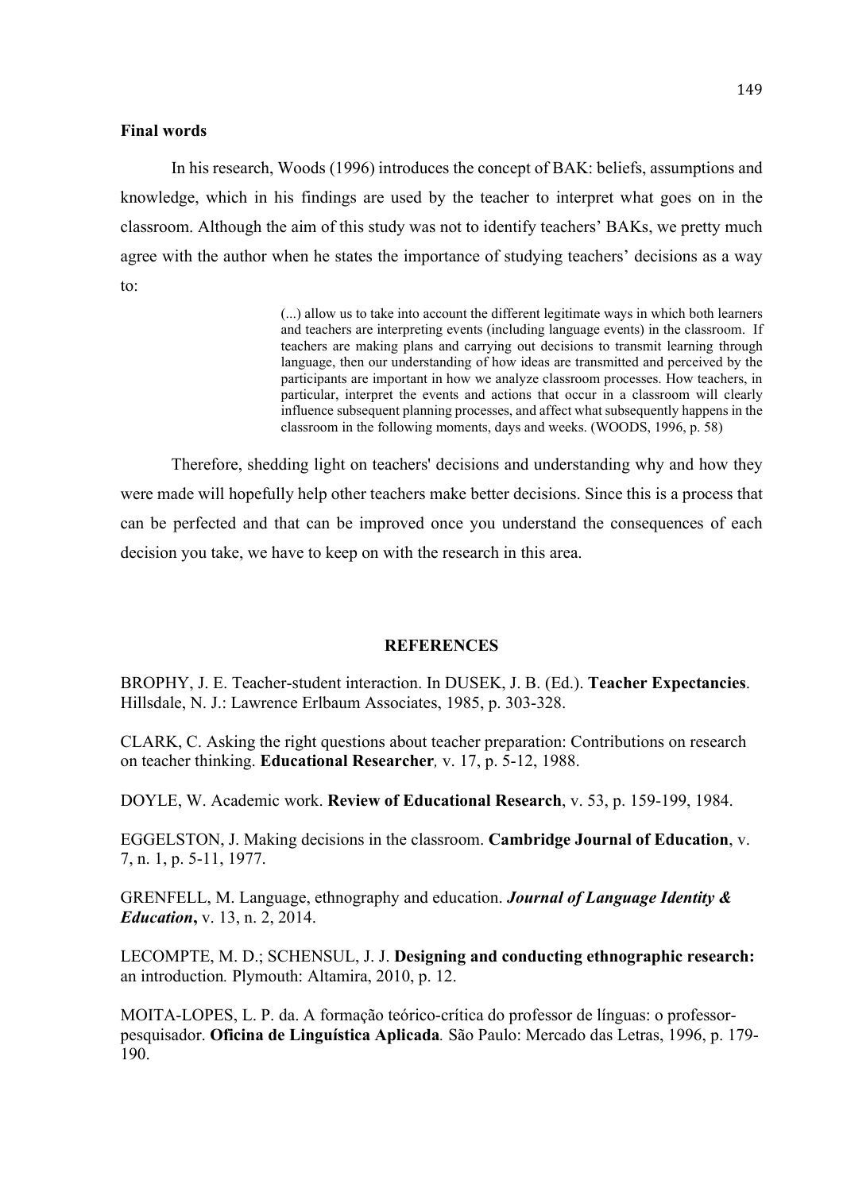### Final words

In his research, Woods (1996) introduces the concept of BAK: beliefs, assumptions and knowledge, which in his findings are used by the teacher to interpret what goes on in the classroom. Although the aim of this study was not to identify teachers' BAKs, we pretty much agree with the author when he states the importance of studying teachers' decisions as a way to:

> (...) allow us to take into account the different legitimate ways in which both learners and teachers are interpreting events (including language events) in the classroom. If teachers are making plans and carrying out decisions to transmit learning through language, then our understanding of how ideas are transmitted and perceived by the participants are important in how we analyze classroom processes. How teachers, in particular, interpret the events and actions that occur in a classroom will clearly influence subsequent planning processes, and affect what subsequently happens in the classroom in the following moments, days and weeks. (WOODS, 1996, p. 58)

Therefore, shedding light on teachers' decisions and understanding why and how they were made will hopefully help other teachers make better decisions. Since this is a process that can be perfected and that can be improved once you understand the consequences of each decision you take, we have to keep on with the research in this area.

# **REFERENCES**

BROPHY, J. E. Teacher-student interaction. In DUSEK, J. B. (Ed.). Teacher Expectancies. Hillsdale, N. J.: Lawrence Erlbaum Associates, 1985, p. 303-328.

CLARK, C. Asking the right questions about teacher preparation: Contributions on research on teacher thinking. Educational Researcher, v. 17, p. 5-12, 1988.

DOYLE, W. Academic work. Review of Educational Research, v. 53, p. 159-199, 1984.

EGGELSTON, J. Making decisions in the classroom. Cambridge Journal of Education, v. 7, n. 1, p. 5-11, 1977.

GRENFELL, M. Language, ethnography and education. **Journal of Language Identity & Education**, v. 13, n. 2, 2014.

LECOMPTE, M. D.; SCHENSUL, J. J. Designing and conducting ethnographic research: an introduction. Plymouth: Altamira, 2010, p. 12.

MOITA-LOPES, L. P. da. A formação teórico-crítica do professor de línguas: o professorpesquisador. Oficina de Linguística Aplicada. São Paulo: Mercado das Letras, 1996, p. 179- 190.